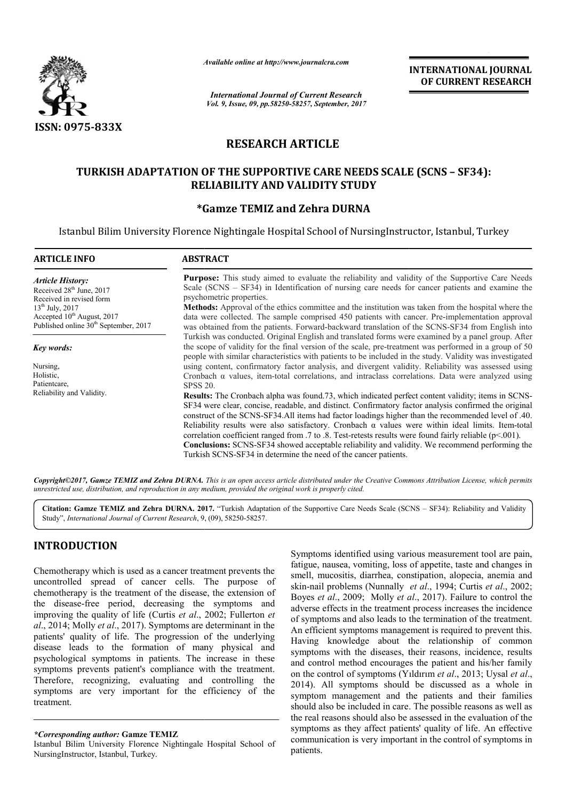

*Available online at http://www.journal http://www.journalcra.com*

# **RESEARCH ARTICLE**

## **TURKISH ADAPTATION OF THE SUPPORTIVE CARE NEEDS SCALE (SCNS – SF34): RELIABILITY AND VALIDITY STUDY**

## **\*Gamze TEMIZ and Zehra DURNA Gamze**

|                                                                                                                                                                                                                                                                                                                                                                                                                                                                                                                                                                                                                                                                                                                                                                          | Avauable onune at nup://www.journatcra.com                                                                                                                                                                                                                                                                                                                                                                                                                                                                                                                                                                                                                           | <b>International Journal of Current Research</b><br>Vol. 9, Issue, 09, pp.58250-58257, September, 2017                                                                                                                                                                                                                                                                                                                                                                                                                                                                                                      | <b>INTERNATIONAL JOURNAL</b><br>OF CURRENT RESEARCH                                                                                                                                                                                                                                                                                                                                                                                                                                                                                                                                                                                                                                                                                                                                                                                                                                                                                                                                                                                                                     |  |  |
|--------------------------------------------------------------------------------------------------------------------------------------------------------------------------------------------------------------------------------------------------------------------------------------------------------------------------------------------------------------------------------------------------------------------------------------------------------------------------------------------------------------------------------------------------------------------------------------------------------------------------------------------------------------------------------------------------------------------------------------------------------------------------|----------------------------------------------------------------------------------------------------------------------------------------------------------------------------------------------------------------------------------------------------------------------------------------------------------------------------------------------------------------------------------------------------------------------------------------------------------------------------------------------------------------------------------------------------------------------------------------------------------------------------------------------------------------------|-------------------------------------------------------------------------------------------------------------------------------------------------------------------------------------------------------------------------------------------------------------------------------------------------------------------------------------------------------------------------------------------------------------------------------------------------------------------------------------------------------------------------------------------------------------------------------------------------------------|-------------------------------------------------------------------------------------------------------------------------------------------------------------------------------------------------------------------------------------------------------------------------------------------------------------------------------------------------------------------------------------------------------------------------------------------------------------------------------------------------------------------------------------------------------------------------------------------------------------------------------------------------------------------------------------------------------------------------------------------------------------------------------------------------------------------------------------------------------------------------------------------------------------------------------------------------------------------------------------------------------------------------------------------------------------------------|--|--|
| <b>ISSN: 0975-833X</b>                                                                                                                                                                                                                                                                                                                                                                                                                                                                                                                                                                                                                                                                                                                                                   |                                                                                                                                                                                                                                                                                                                                                                                                                                                                                                                                                                                                                                                                      |                                                                                                                                                                                                                                                                                                                                                                                                                                                                                                                                                                                                             |                                                                                                                                                                                                                                                                                                                                                                                                                                                                                                                                                                                                                                                                                                                                                                                                                                                                                                                                                                                                                                                                         |  |  |
|                                                                                                                                                                                                                                                                                                                                                                                                                                                                                                                                                                                                                                                                                                                                                                          | <b>RESEARCH ARTICLE</b>                                                                                                                                                                                                                                                                                                                                                                                                                                                                                                                                                                                                                                              |                                                                                                                                                                                                                                                                                                                                                                                                                                                                                                                                                                                                             |                                                                                                                                                                                                                                                                                                                                                                                                                                                                                                                                                                                                                                                                                                                                                                                                                                                                                                                                                                                                                                                                         |  |  |
|                                                                                                                                                                                                                                                                                                                                                                                                                                                                                                                                                                                                                                                                                                                                                                          |                                                                                                                                                                                                                                                                                                                                                                                                                                                                                                                                                                                                                                                                      |                                                                                                                                                                                                                                                                                                                                                                                                                                                                                                                                                                                                             |                                                                                                                                                                                                                                                                                                                                                                                                                                                                                                                                                                                                                                                                                                                                                                                                                                                                                                                                                                                                                                                                         |  |  |
|                                                                                                                                                                                                                                                                                                                                                                                                                                                                                                                                                                                                                                                                                                                                                                          | TURKISH ADAPTATION OF THE SUPPORTIVE CARE NEEDS SCALE (SCNS - SF34):                                                                                                                                                                                                                                                                                                                                                                                                                                                                                                                                                                                                 | <b>RELIABILITY AND VALIDITY STUDY</b><br><i><b>*Gamze TEMIZ and Zehra DURNA</b></i>                                                                                                                                                                                                                                                                                                                                                                                                                                                                                                                         |                                                                                                                                                                                                                                                                                                                                                                                                                                                                                                                                                                                                                                                                                                                                                                                                                                                                                                                                                                                                                                                                         |  |  |
| <b>ARTICLE INFO</b>                                                                                                                                                                                                                                                                                                                                                                                                                                                                                                                                                                                                                                                                                                                                                      | <b>ABSTRACT</b>                                                                                                                                                                                                                                                                                                                                                                                                                                                                                                                                                                                                                                                      |                                                                                                                                                                                                                                                                                                                                                                                                                                                                                                                                                                                                             | Istanbul Bilim University Florence Nightingale Hospital School of NursingInstructor, Istanbul, Turkey                                                                                                                                                                                                                                                                                                                                                                                                                                                                                                                                                                                                                                                                                                                                                                                                                                                                                                                                                                   |  |  |
|                                                                                                                                                                                                                                                                                                                                                                                                                                                                                                                                                                                                                                                                                                                                                                          |                                                                                                                                                                                                                                                                                                                                                                                                                                                                                                                                                                                                                                                                      |                                                                                                                                                                                                                                                                                                                                                                                                                                                                                                                                                                                                             | Purpose: This study aimed to evaluate the reliability and validity of the Supportive Care Needs                                                                                                                                                                                                                                                                                                                                                                                                                                                                                                                                                                                                                                                                                                                                                                                                                                                                                                                                                                         |  |  |
| <b>Article History:</b><br>Received 28 <sup>th</sup> June, 2017<br>Received in revised form<br>13 <sup>th</sup> July, 2017<br>Accepted 10 <sup>th</sup> August, 2017<br>Published online 30 <sup>th</sup> September, 2017                                                                                                                                                                                                                                                                                                                                                                                                                                                                                                                                                | psychometric properties.                                                                                                                                                                                                                                                                                                                                                                                                                                                                                                                                                                                                                                             |                                                                                                                                                                                                                                                                                                                                                                                                                                                                                                                                                                                                             | Scale (SCNS – SF34) in Identification of nursing care needs for cancer patients and examine the<br>Methods: Approval of the ethics committee and the institution was taken from the hospital where the<br>data were collected. The sample comprised 450 patients with cancer. Pre-implementation approval<br>was obtained from the patients. Forward-backward translation of the SCNS-SF34 from English into                                                                                                                                                                                                                                                                                                                                                                                                                                                                                                                                                                                                                                                            |  |  |
| Key words:<br>Nursing,<br>Holistic,<br>Patientcare,<br>Reliability and Validity.                                                                                                                                                                                                                                                                                                                                                                                                                                                                                                                                                                                                                                                                                         | Turkish was conducted. Original English and translated forms were examined by a panel group. After<br>the scope of validity for the final version of the scale, pre-treatment was performed in a group of 50<br>people with similar characteristics with patients to be included in the study. Validity was investigated<br>using content, confirmatory factor analysis, and divergent validity. Reliability was assessed using<br>Cronbach $\alpha$ values, item-total correlations, and intraclass correlations. Data were analyzed using<br><b>SPSS 20.</b><br>Results: The Cronbach alpha was found 73, which indicated perfect content validity; items in SCNS- |                                                                                                                                                                                                                                                                                                                                                                                                                                                                                                                                                                                                             |                                                                                                                                                                                                                                                                                                                                                                                                                                                                                                                                                                                                                                                                                                                                                                                                                                                                                                                                                                                                                                                                         |  |  |
|                                                                                                                                                                                                                                                                                                                                                                                                                                                                                                                                                                                                                                                                                                                                                                          |                                                                                                                                                                                                                                                                                                                                                                                                                                                                                                                                                                                                                                                                      | SF34 were clear, concise, readable, and distinct. Confirmatory factor analysis confirmed the original<br>construct of the SCNS-SF34.All items had factor loadings higher than the recommended level of .40.<br>Reliability results were also satisfactory. Cronbach $\alpha$ values were within ideal limits. Item-total<br>correlation coefficient ranged from .7 to .8. Test-retests results were found fairly reliable ( $p<001$ ).<br>Conclusions: SCNS-SF34 showed acceptable reliability and validity. We recommend performing the<br>Turkish SCNS-SF34 in determine the need of the cancer patients. |                                                                                                                                                                                                                                                                                                                                                                                                                                                                                                                                                                                                                                                                                                                                                                                                                                                                                                                                                                                                                                                                         |  |  |
| unrestricted use, distribution, and reproduction in any medium, provided the original work is properly cited.                                                                                                                                                                                                                                                                                                                                                                                                                                                                                                                                                                                                                                                            |                                                                                                                                                                                                                                                                                                                                                                                                                                                                                                                                                                                                                                                                      |                                                                                                                                                                                                                                                                                                                                                                                                                                                                                                                                                                                                             | Copyright©2017, Gamze TEMIZ and Zehra DURNA. This is an open access article distributed under the Creative Commons Attribution License, which permits                                                                                                                                                                                                                                                                                                                                                                                                                                                                                                                                                                                                                                                                                                                                                                                                                                                                                                                   |  |  |
| Study", International Journal of Current Research, 9, (09), 58250-58257.                                                                                                                                                                                                                                                                                                                                                                                                                                                                                                                                                                                                                                                                                                 |                                                                                                                                                                                                                                                                                                                                                                                                                                                                                                                                                                                                                                                                      |                                                                                                                                                                                                                                                                                                                                                                                                                                                                                                                                                                                                             | Citation: Gamze TEMIZ and Zehra DURNA. 2017. "Turkish Adaptation of the Supportive Care Needs Scale (SCNS – SF34): Reliability and Validity                                                                                                                                                                                                                                                                                                                                                                                                                                                                                                                                                                                                                                                                                                                                                                                                                                                                                                                             |  |  |
| <b>INTRODUCTION</b>                                                                                                                                                                                                                                                                                                                                                                                                                                                                                                                                                                                                                                                                                                                                                      |                                                                                                                                                                                                                                                                                                                                                                                                                                                                                                                                                                                                                                                                      |                                                                                                                                                                                                                                                                                                                                                                                                                                                                                                                                                                                                             |                                                                                                                                                                                                                                                                                                                                                                                                                                                                                                                                                                                                                                                                                                                                                                                                                                                                                                                                                                                                                                                                         |  |  |
| Chemotherapy which is used as a cancer treatment prevents the<br>uncontrolled spread of cancer cells. The purpose of<br>chemotherapy is the treatment of the disease, the extension of<br>the disease-free period, decreasing the symptoms and<br>improving the quality of life (Curtis et al., 2002; Fullerton et<br>al., 2014; Molly et al., 2017). Symptoms are determinant in the<br>patients' quality of life. The progression of the underlying<br>disease leads to the formation of many physical and<br>psychological symptoms in patients. The increase in these<br>symptoms prevents patient's compliance with the treatment.<br>Therefore, recognizing, evaluating and controlling the<br>symptoms are very important for the efficiency of the<br>treatment. |                                                                                                                                                                                                                                                                                                                                                                                                                                                                                                                                                                                                                                                                      |                                                                                                                                                                                                                                                                                                                                                                                                                                                                                                                                                                                                             | Symptoms identified using various measurement tool are pain,<br>fatigue, nausea, vomiting, loss of appetite, taste and changes in<br>smell, mucositis, diarrhea, constipation, alopecia, anemia and<br>skin-nail problems (Nunnally et al., 1994; Curtis et al., 2002;<br>Boyes et al., 2009; Molly et al., 2017). Failure to control the<br>adverse effects in the treatment process increases the incidence<br>of symptoms and also leads to the termination of the treatment.<br>An efficient symptoms management is required to prevent this.<br>Having knowledge about the relationship of common<br>symptoms with the diseases, their reasons, incidence, results<br>and control method encourages the patient and his/her family<br>on the control of symptoms (Yildirim et al., 2013; Uysal et al.,<br>2014). All symptoms should be discussed as a whole in<br>symptom management and the patients and their families<br>should also be included in care. The possible reasons as well as<br>the real reasons should also be assessed in the evaluation of the |  |  |
| <i>*Corresponding author: Gamze TEMIZ</i><br>Istanbul Bilim University Florence Nightingale Hospital School of                                                                                                                                                                                                                                                                                                                                                                                                                                                                                                                                                                                                                                                           |                                                                                                                                                                                                                                                                                                                                                                                                                                                                                                                                                                                                                                                                      |                                                                                                                                                                                                                                                                                                                                                                                                                                                                                                                                                                                                             | symptoms as they affect patients' quality of life. An effective<br>communication is very important in the control of symptoms in                                                                                                                                                                                                                                                                                                                                                                                                                                                                                                                                                                                                                                                                                                                                                                                                                                                                                                                                        |  |  |

# **INTRODUCTION**

Istanbul Bilim University Florence Nightingale Hospital School of NursingInstructor, Istanbul, Turkey.

Symptoms identified using various measurement tool are pain, fatigue, nausea, vomiting, loss of appetite, taste and changes in smell, mucositis, diarrhea, constipation, alopecia, anemia and Symptoms identified using various measurement tool are pain, fatigue, nausea, vomiting, loss of appetite, taste and changes in smell, mucositis, diarrhea, constipation, alopecia, anemia and skin-nail problems (Nunnally *et* Boyes *et al.*, 2009; Molly *et al.*, 2017). Failure to control the adverse effects in the treatment process increases the incidence of symptoms and also leads to the termination of the treatment. of symptoms and also leads to the termination of the treatment.<br>An efficient symptoms management is required to prevent this. Having knowledge about the relationship of common symptoms with the diseases, their reasons, incidence, results and control method encourages the patient and his/her family on the control of symptoms (Yıldırım et al., 2013; Uysal et al., 2014). All symptoms should be discussed as a whole in symptom management and the patients and their families should also be included in care. The possible reasons as well as the real reasons should also be assessed in the evaluation of the symptoms as they affect patients' quality of life. An effective communication is very important in the control of symptoms in patients. owledge about the relationship of common<br>with the diseases, their reasons, incidence, results<br>method encourages the patient and his/her family<br>ol of symptoms (Yıldırım *et al.*, 2013; Uysal *et al.*,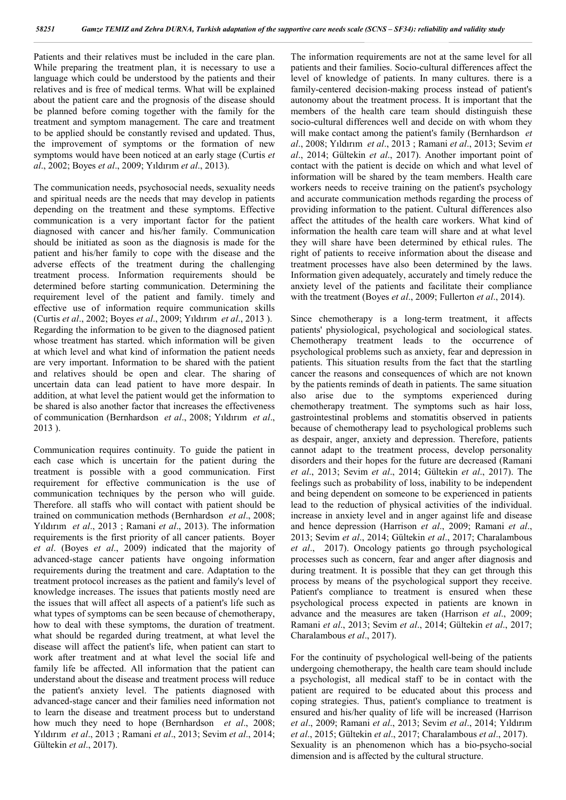Patients and their relatives must be included in the care plan. While preparing the treatment plan, it is necessary to use a language which could be understood by the patients and their relatives and is free of medical terms. What will be explained about the patient care and the prognosis of the disease should be planned before coming together with the family for the treatment and symptom management. The care and treatment to be applied should be constantly revised and updated. Thus, the improvement of symptoms or the formation of new symptoms would have been noticed at an early stage (Curtis *et al*., 2002; Boyes *et al*., 2009; Yıldırım *et al*., 2013).

The communication needs, psychosocial needs, sexuality needs and spiritual needs are the needs that may develop in patients depending on the treatment and these symptoms. Effective communication is a very important factor for the patient diagnosed with cancer and his/her family. Communication should be initiated as soon as the diagnosis is made for the patient and his/her family to cope with the disease and the adverse effects of the treatment during the challenging treatment process. Information requirements should be determined before starting communication. Determining the requirement level of the patient and family. timely and effective use of information require communication skills (Curtis *et al*., 2002; Boyes *et al*., 2009; Yıldırım *et al*., 2013 ). Regarding the information to be given to the diagnosed patient whose treatment has started. which information will be given at which level and what kind of information the patient needs are very important. Information to be shared with the patient and relatives should be open and clear. The sharing of uncertain data can lead patient to have more despair. In addition, at what level the patient would get the information to be shared is also another factor that increases the effectiveness of communication (Bernhardson *et al*., 2008; Yıldırım *et al*., 2013 ).

Communication requires continuity. To guide the patient in each case which is uncertain for the patient during the treatment is possible with a good communication. First requirement for effective communication is the use of communication techniques by the person who will guide. Therefore. all staffs who will contact with patient should be trained on communication methods (Bernhardson *et al*., 2008; Yıldırım *et al*., 2013 ; Ramani *et al*., 2013). The information requirements is the first priority of all cancer patients. Boyer *et al*. (Boyes *et al*., 2009) indicated that the majority of advanced-stage cancer patients have ongoing information requirements during the treatment and care. Adaptation to the treatment protocol increases as the patient and family's level of knowledge increases. The issues that patients mostly need are the issues that will affect all aspects of a patient's life such as what types of symptoms can be seen because of chemotherapy, how to deal with these symptoms, the duration of treatment. what should be regarded during treatment, at what level the disease will affect the patient's life, when patient can start to work after treatment and at what level the social life and family life be affected. All information that the patient can understand about the disease and treatment process will reduce the patient's anxiety level. The patients diagnosed with advanced-stage cancer and their families need information not to learn the disease and treatment process but to understand how much they need to hope (Bernhardson *et al*., 2008; Yıldırım *et al*., 2013 ; Ramani *et al*., 2013; Sevim *et al*., 2014; Gültekin *et al*., 2017).

The information requirements are not at the same level for all patients and their families. Socio-cultural differences affect the level of knowledge of patients. In many cultures. there is a family-centered decision-making process instead of patient's autonomy about the treatment process. It is important that the members of the health care team should distinguish these socio-cultural differences well and decide on with whom they will make contact among the patient's family (Bernhardson *et al*., 2008; Yıldırım *et al*., 2013 ; Ramani *et al*., 2013; Sevim *et al*., 2014; Gültekin *et al*., 2017). Another important point of contact with the patient is decide on which and what level of information will be shared by the team members. Health care workers needs to receive training on the patient's psychology and accurate communication methods regarding the process of providing information to the patient. Cultural differences also affect the attitudes of the health care workers. What kind of information the health care team will share and at what level they will share have been determined by ethical rules. The right of patients to receive information about the disease and treatment processes have also been determined by the laws. Information given adequately, accurately and timely reduce the anxiety level of the patients and facilitate their compliance with the treatment (Boyes *et al*., 2009; Fullerton *et al*., 2014).

Since chemotherapy is a long-term treatment, it affects patients' physiological, psychological and sociological states. Chemotherapy treatment leads to the occurrence of psychological problems such as anxiety, fear and depression in patients. This situation results from the fact that the startling cancer the reasons and consequences of which are not known by the patients reminds of death in patients. The same situation also arise due to the symptoms experienced during chemotherapy treatment. The symptoms such as hair loss, gastrointestinal problems and stomatitis observed in patients because of chemotherapy lead to psychological problems such as despair, anger, anxiety and depression. Therefore, patients cannot adapt to the treatment process, develop personality disorders and their hopes for the future are decreased (Ramani *et al*., 2013; Sevim *et al*., 2014; Gültekin *et al*., 2017). The feelings such as probability of loss, inability to be independent and being dependent on someone to be experienced in patients lead to the reduction of physical activities of the individual. increase in anxiety level and in anger against life and disease and hence depression (Harrison *et al*., 2009; Ramani *et al*., 2013; Sevim *et al*., 2014; Gültekin *et al*., 2017; Charalambous *et al*., 2017). Oncology patients go through psychological processes such as concern, fear and anger after diagnosis and during treatment. It is possible that they can get through this process by means of the psychological support they receive. Patient's compliance to treatment is ensured when these psychological process expected in patients are known in advance and the measures are taken (Harrison *et al*., 2009; Ramani *et al*., 2013; Sevim *et al*., 2014; Gültekin *et al*., 2017; Charalambous *et al*., 2017).

For the continuity of psychological well-being of the patients undergoing chemotherapy, the health care team should include a psychologist, all medical staff to be in contact with the patient are required to be educated about this process and coping strategies. Thus, patient's compliance to treatment is ensured and his/her quality of life will be increased (Harrison *et al*., 2009; Ramani *et al*., 2013; Sevim *et al*., 2014; Yıldırım *et al*., 2015; Gültekin *et al*., 2017; Charalambous *et al*., 2017). Sexuality is an phenomenon which has a bio-psycho-social dimension and is affected by the cultural structure.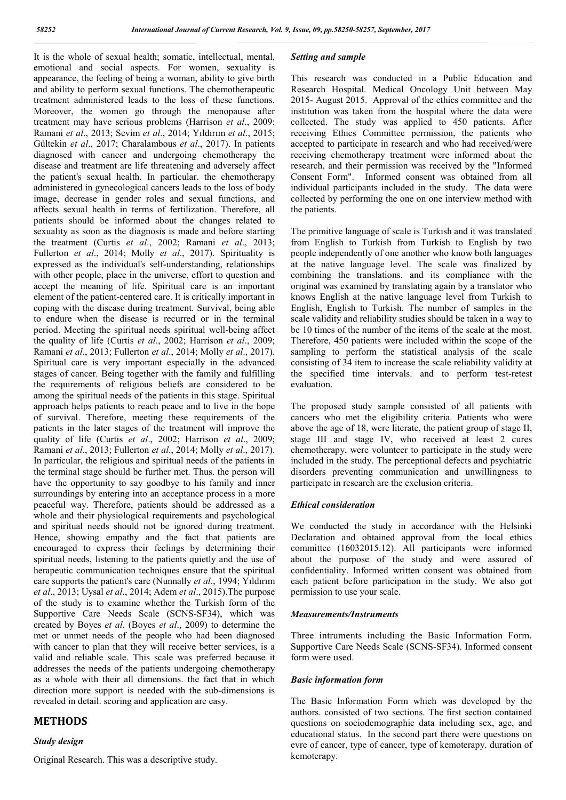It is the whole of sexual health; somatic, intellectual, mental, emotional and social aspects. For women, sexuality is appearance, the feeling of being a woman, ability to give birth and ability to perform sexual functions. The chemotherapeutic treatment administered leads to the loss of these functions. Moreover, the women go through the menopause after treatment may have serious problems (Harrison *et al*., 2009; Ramani *et al*., 2013; Sevim *et al*., 2014; Yıldırım *et al*., 2015; Gültekin *et al*., 2017; Charalambous *et al*., 2017). In patients diagnosed with cancer and undergoing chemotherapy the disease and treatment are life threatening and adversely affect the patient's sexual health. In particular. the chemotherapy administered in gynecological cancers leads to the loss of body image, decrease in gender roles and sexual functions, and affects sexual health in terms of fertilization. Therefore, all patients should be informed about the changes related to sexuality as soon as the diagnosis is made and before starting the treatment (Curtis *et al*., 2002; Ramani *et al*., 2013; Fullerton *et al*., 2014; Molly *et al*., 2017). Spirituality is expressed as the individual's self-understanding, relationships with other people, place in the universe, effort to question and accept the meaning of life. Spiritual care is an important element of the patient-centered care. It is critically important in coping with the disease during treatment. Survival, being able to endure when the disease is recurred or in the terminal period. Meeting the spiritual needs spiritual well-being affect the quality of life (Curtis *et al*., 2002; Harrison *et al*., 2009; Ramani *et al*., 2013; Fullerton *et al*., 2014; Molly *et al*., 2017). Spiritual care is very important especially in the advanced stages of cancer. Being together with the family and fulfilling the requirements of religious beliefs are considered to be among the spiritual needs of the patients in this stage. Spiritual approach helps patients to reach peace and to live in the hope of survival. Therefore, meeting these requirements of the patients in the later stages of the treatment will improve the quality of life (Curtis *et al*., 2002; Harrison *et al*., 2009; Ramani *et al*., 2013; Fullerton *et al*., 2014; Molly *et al*., 2017). In particular, the religious and spiritual needs of the patients in the terminal stage should be further met. Thus. the person will have the opportunity to say goodbye to his family and inner surroundings by entering into an acceptance process in a more peaceful way. Therefore, patients should be addressed as a whole and their physiological requirements and psychological and spiritual needs should not be ignored during treatment. Hence, showing empathy and the fact that patients are encouraged to express their feelings by determining their spiritual needs, listening to the patients quietly and the use of herapeutic communication techniques ensure that the spiritual care supports the patient's care (Nunnally *et al*., 1994; Yıldırım *et al*., 2013; Uysal *et al*., 2014; Adem *et al*., 2015).The purpose of the study is to examine whether the Turkish form of the Supportive Care Needs Scale (SCNS-SF34), which was created by Boyes *et al*. (Boyes *et al*., 2009) to determine the met or unmet needs of the people who had been diagnosed with cancer to plan that they will receive better services, is a valid and reliable scale. This scale was preferred because it addresses the needs of the patients undergoing chemotherapy as a whole with their all dimensions. the fact that in which direction more support is needed with the sub-dimensions is revealed in detail. scoring and application are easy.

## **METHODS**

## *Study design*

## *Setting and sample*

This research was conducted in a Public Education and Research Hospital. Medical Oncology Unit between May 2015- August 2015. Approval of the ethics committee and the institution was taken from the hospital where the data were collected. The study was applied to 450 patients. After receiving Ethics Committee permission, the patients who accepted to participate in research and who had received/were receiving chemotherapy treatment were informed about the research, and their permission was received by the "Informed Consent Form". Informed consent was obtained from all individual participants included in the study. The data were collected by performing the one on one interview method with the patients.

The primitive language of scale is Turkish and it was translated from English to Turkish from Turkish to English by two people independently of one another who know both languages at the native language level. The scale was finalized by combining the translations. and its compliance with the original was examined by translating again by a translator who knows English at the native language level from Turkish to English, English to Turkish. The number of samples in the scale validity and reliability studies should be taken in a way to be 10 times of the number of the items of the scale at the most. Therefore, 450 patients were included within the scope of the sampling to perform the statistical analysis of the scale consisting of 34 item to increase the scale reliability validity at the specified time intervals. and to perform test-retest evaluation.

The proposed study sample consisted of all patients with cancers who met the eligibility criteria. Patients who were above the age of 18, were literate, the patient group of stage II, stage III and stage IV, who received at least 2 cures chemotherapy, were volunteer to participate in the study were included in the study. The perceptional defects and psychiatric disorders preventing communication and unwillingness to participate in research are the exclusion criteria.

## *Ethical consideration*

We conducted the study in accordance with the Helsinki Declaration and obtained approval from the local ethics committee (16032015.12). All participants were informed about the purpose of the study and were assured of confidentiality. Informed written consent was obtained from each patient before participation in the study. We also got permission to use your scale.

### *Measurements/Instruments*

Three intruments including the Basic Information Form. Supportive Care Needs Scale (SCNS-SF34). Informed consent form were used.

## *Basic information form*

The Basic Information Form which was developed by the authors. consisted of two sections. The first section contained questions on sociodemographic data including sex, age, and educational status. In the second part there were questions on evre of cancer, type of cancer, type of kemoterapy. duration of kemoterapy.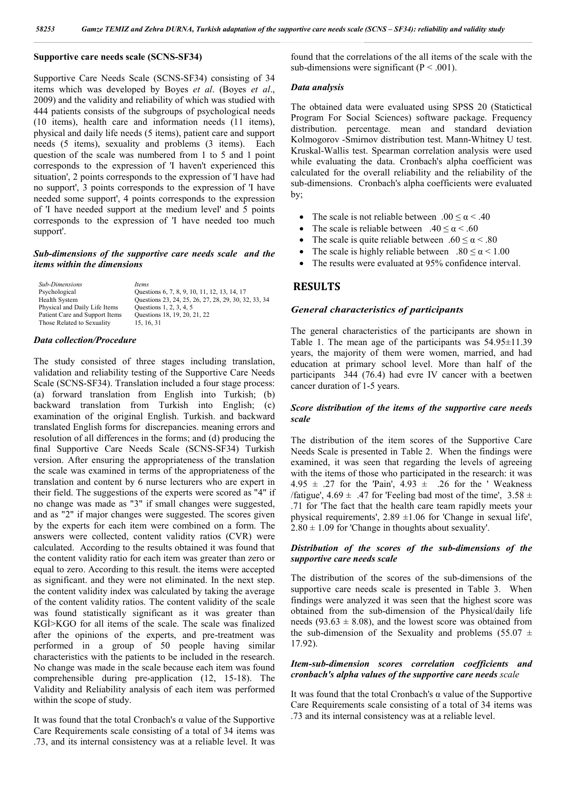## **Supportive care needs scale (SCNS-SF34)**

Supportive Care Needs Scale (SCNS-SF34) consisting of 34 items which was developed by Boyes *et al*. (Boyes *et al*., 2009) and the validity and reliability of which was studied with 444 patients consists of the subgroups of psychological needs (10 items), health care and information needs (11 items), physical and daily life needs (5 items), patient care and support needs (5 items), sexuality and problems (3 items). Each question of the scale was numbered from 1 to 5 and 1 point corresponds to the expression of 'I haven't experienced this situation', 2 points corresponds to the expression of 'I have had no support', 3 points corresponds to the expression of 'I have needed some support', 4 points corresponds to the expression of 'I have needed support at the medium level' and 5 points corresponds to the expression of 'I have needed too much support'.

### *Sub-dimensions of the supportive care needs scale and the items within the dimensions*

| <b>Sub-Dimensions</b>          | <i>Items</i>                                         |
|--------------------------------|------------------------------------------------------|
| Psychological                  | Questions 6, 7, 8, 9, 10, 11, 12, 13, 14, 17         |
| <b>Health System</b>           | Questions 23, 24, 25, 26, 27, 28, 29, 30, 32, 33, 34 |
| Physical and Daily Life Items  | Questions 1, 2, 3, 4, 5                              |
| Patient Care and Support Items | Questions 18, 19, 20, 21, 22                         |
| Those Related to Sexuality     | 15.16.31                                             |

## *Data collection/Procedure*

The study consisted of three stages including translation, validation and reliability testing of the Supportive Care Needs Scale (SCNS-SF34). Translation included a four stage process: (a) forward translation from English into Turkish; (b) backward translation from Turkish into English; (c) examination of the original English. Turkish. and backward translated English forms for discrepancies. meaning errors and resolution of all differences in the forms; and (d) producing the final Supportive Care Needs Scale (SCNS-SF34) Turkish version. After ensuring the appropriateness of the translation the scale was examined in terms of the appropriateness of the translation and content by 6 nurse lecturers who are expert in their field. The suggestions of the experts were scored as "4" if no change was made as "3" if small changes were suggested, and as "2" if major changes were suggested. The scores given by the experts for each item were combined on a form. The answers were collected, content validity ratios (CVR) were calculated. According to the results obtained it was found that the content validity ratio for each item was greater than zero or equal to zero. According to this result. the items were accepted as significant. and they were not eliminated. In the next step. the content validity index was calculated by taking the average of the content validity ratios. The content validity of the scale was found statistically significant as it was greater than KGİ>KGO for all items of the scale. The scale was finalized after the opinions of the experts, and pre-treatment was performed in a group of 50 people having similar characteristics with the patients to be included in the research. No change was made in the scale because each item was found comprehensible during pre-application (12, 15-18). The Validity and Reliability analysis of each item was performed within the scope of study.

It was found that the total Cronbach's α value of the Supportive Care Requirements scale consisting of a total of 34 items was .73, and its internal consistency was at a reliable level. It was

found that the correlations of the all items of the scale with the sub-dimensions were significant ( $P < .001$ ).

## *Data analysis*

The obtained data were evaluated using SPSS 20 (Statictical Program For Social Sciences) software package. Frequency distribution. percentage. mean and standard deviation Kolmogorov -Smirnov distribution test. Mann-Whitney U test. Kruskal-Wallis test. Spearman correlation analysis were used while evaluating the data. Cronbach's alpha coefficient was calculated for the overall reliability and the reliability of the sub-dimensions. Cronbach's alpha coefficients were evaluated by;

- The scale is not reliable between  $.00 \le \alpha < .40$
- The scale is reliable between  $.40 \le \alpha \le .60$
- The scale is quite reliable between  $.60 \le \alpha \le .80$
- The scale is highly reliable between  $.80 \le \alpha \le 1.00$
- The results were evaluated at 95% confidence interval.

## **RESULTS**

#### *General characteristics of participants*

The general characteristics of the participants are shown in Table 1. The mean age of the participants was  $54.95 \pm 11.39$ years, the majority of them were women, married, and had education at primary school level. More than half of the participants 344 (76.4) had evre IV cancer with a beetwen cancer duration of 1-5 years.

## *Score distribution of the items of the supportive care needs scale*

The distribution of the item scores of the Supportive Care Needs Scale is presented in Table 2.When the findings were examined, it was seen that regarding the levels of agreeing with the items of those who participated in the research: it was 4.95  $\pm$  .27 for the 'Pain', 4.93  $\pm$  .26 for the 'Weakness /fatigue',  $4.69 \pm .47$  for 'Feeling bad most of the time',  $3.58 \pm$ .71 for 'The fact that the health care team rapidly meets your physical requirements',  $2.89 \pm 1.06$  for 'Change in sexual life',  $2.80 \pm 1.09$  for 'Change in thoughts about sexuality'.

### *Distribution of the scores of the sub-dimensions of the supportive care needs scale*

The distribution of the scores of the sub-dimensions of the supportive care needs scale is presented in Table 3. When findings were analyzed it was seen that the highest score was obtained from the sub-dimension of the Physical/daily life needs (93.63  $\pm$  8.08), and the lowest score was obtained from the sub-dimension of the Sexuality and problems (55.07  $\pm$ 17.92).

## *Item-sub-dimension scores correlation coefficients and cronbach's alpha values of the supportive care needs scale*

It was found that the total Cronbach's α value of the Supportive Care Requirements scale consisting of a total of 34 items was .73 and its internal consistency was at a reliable level.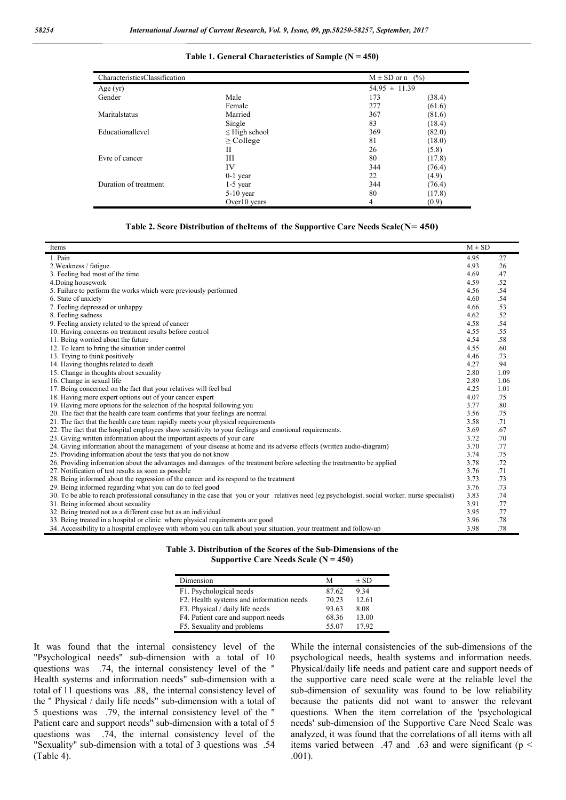#### **Table 1. General Characteristics of Sample (N = 450)**

| CharacteristicsClassification |                    | $M \pm SD$ or n $(\%)$ |        |  |
|-------------------------------|--------------------|------------------------|--------|--|
| Age $(yr)$                    |                    | $54.95 \pm 11.39$      |        |  |
| Gender                        | Male               | 173                    | (38.4) |  |
|                               | Female             | 277                    | (61.6) |  |
| Maritalstatus                 | Married            | 367                    | (81.6) |  |
|                               | Single             | 83                     | (18.4) |  |
| Educationallevel              | $\leq$ High school | 369                    | (82.0) |  |
|                               | $\geq$ College     | 81                     | (18.0) |  |
|                               | Н                  | 26                     | (5.8)  |  |
| Evre of cancer                | Ш                  | 80                     | (17.8) |  |
|                               | IV                 | 344                    | (76.4) |  |
|                               | $0-1$ year         | 22                     | (4.9)  |  |
| Duration of treatment         | $1-5$ year         | 344                    | (76.4) |  |
|                               | $5-10$ year        | 80                     | (17.8) |  |
|                               | Over10 years       | 4                      | (0.9)  |  |

#### **Table 2. Score Distribution of theItems of the Supportive Care Needs Scale(N= 450)**

| Items                                                                                                                                           | $M \pm SD$ |      |
|-------------------------------------------------------------------------------------------------------------------------------------------------|------------|------|
| 1. Pain                                                                                                                                         | 4.95       | .27  |
| 2. Weakness / fatigue                                                                                                                           | 4.93       | .26  |
| 3. Feeling bad most of the time                                                                                                                 | 4.69       | .47  |
| 4. Doing housework                                                                                                                              | 4.59       | .52  |
| 5. Failure to perform the works which were previously performed                                                                                 | 4.56       | .54  |
| 6. State of anxiety                                                                                                                             | 4.60       | .54  |
| 7. Feeling depressed or unhappy                                                                                                                 | 4.66       | .53  |
| 8. Feeling sadness                                                                                                                              | 4.62       | .52  |
| 9. Feeling anxiety related to the spread of cancer                                                                                              | 4.58       | .54  |
| 10. Having concerns on treatment results before control                                                                                         | 4.55       | .55  |
| 11. Being worried about the future                                                                                                              | 4.54       | .58  |
| 12. To learn to bring the situation under control                                                                                               | 4.55       | .60  |
| 13. Trying to think positively                                                                                                                  | 4.46       | .73  |
| 14. Having thoughts related to death                                                                                                            | 4.27       | .94  |
| 15. Change in thoughts about sexuality                                                                                                          | 2.80       | 1.09 |
| 16. Change in sexual life                                                                                                                       | 2.89       | 1.06 |
| 17. Being concerned on the fact that your relatives will feel bad                                                                               | 4.25       | 1.01 |
| 18. Having more expert options out of your cancer expert                                                                                        | 4.07       | .75  |
| 19. Having more options for the selection of the hospital following you                                                                         | 3.77       | .80  |
| 20. The fact that the health care team confirms that your feelings are normal                                                                   | 3.56       | .75  |
| 21. The fact that the health care team rapidly meets your physical requirements                                                                 | 3.58       | .71  |
| 22. The fact that the hospital employees show sensitivity to your feelings and emotional requirements.                                          | 3.69       | .67  |
| 23. Giving written information about the important aspects of your care                                                                         | 3.72       | .70  |
| 24. Giving information about the management of your disease at home and its adverse effects (written audio-diagram)                             | 3.70       | .77  |
| 25. Providing information about the tests that you do not know                                                                                  | 3.74       | .75  |
| 26. Providing information about the advantages and damages of the treatment before selecting the treatment to be applied                        | 3.78       | .72  |
| 27. Notification of test results as soon as possible                                                                                            | 3.76       | .71  |
| 28. Being informed about the regression of the cancer and its respond to the treatment                                                          | 3.73       | .73  |
| 29. Being informed regarding what you can do to feel good                                                                                       | 3.76       | .73  |
| 30. To be able to reach professional consultancy in the case that you or your relatives need (eg psychologist. social worker, nurse specialist) | 3.83       | .74  |
| 31. Being informed about sexuality                                                                                                              | 3.91       | .77  |
| 32. Being treated not as a different case but as an individual                                                                                  | 3.95       | .77  |
| 33. Being treated in a hospital or clinic where physical requirements are good                                                                  | 3.96       | .78  |
| 34. Accessibility to a hospital employee with whom you can talk about your situation, your treatment and follow-up                              | 3.98       | .78  |

|  |  | Table 3. Distribution of the Scores of the Sub-Dimensions of the |  |
|--|--|------------------------------------------------------------------|--|
|  |  | Supportive Care Needs Scale $(N = 450)$                          |  |

| Dimension                                | М     | $\pm$ SD |  |
|------------------------------------------|-------|----------|--|
| F1. Psychological needs                  | 87.62 | 9.34     |  |
| F2. Health systems and information needs | 70.23 | 12.61    |  |
| F3. Physical / daily life needs          | 93.63 | 8.08     |  |
| F4. Patient care and support needs       | 68.36 | 13.00    |  |
| F5. Sexuality and problems               | 55.07 | 17.92    |  |

It was found that the internal consistency level of the "Psychological needs" sub-dimension with a total of 10 questions was .74, the internal consistency level of the " Health systems and information needs" sub-dimension with a total of 11 questions was .88, the internal consistency level of the " Physical / daily life needs" sub-dimension with a total of 5 questions was .79, the internal consistency level of the " Patient care and support needs" sub-dimension with a total of 5 questions was .74, the internal consistency level of the "Sexuality" sub-dimension with a total of 3 questions was .54 (Table 4).

While the internal consistencies of the sub-dimensions of the psychological needs, health systems and information needs. Physical/daily life needs and patient care and support needs of the supportive care need scale were at the reliable level the sub-dimension of sexuality was found to be low reliability because the patients did not want to answer the relevant questions. When the item correlation of the 'psychological needs' sub-dimension of the Supportive Care Need Scale was analyzed, it was found that the correlations of all items with all items varied between .47 and .63 and were significant ( $p <$ .001).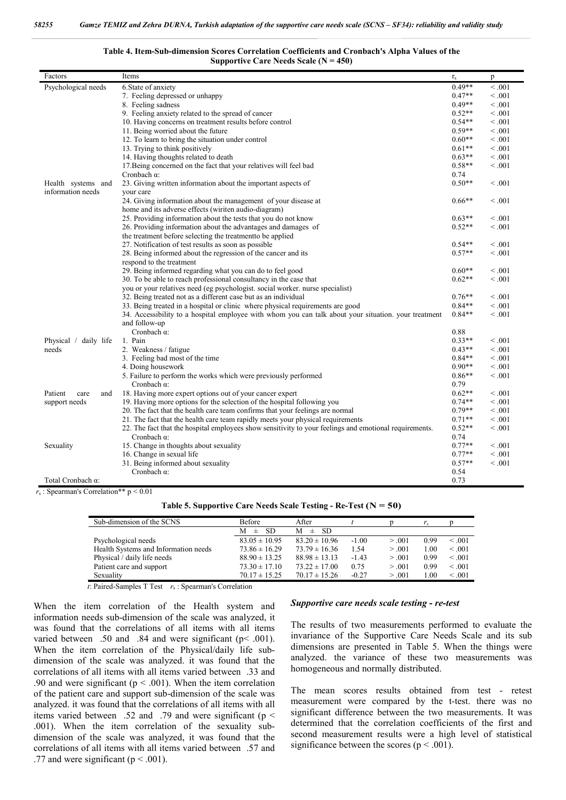| Table 4. Item-Sub-dimension Scores Correlation Coefficients and Cronbach's Alpha Values of the |                                         |  |  |
|------------------------------------------------------------------------------------------------|-----------------------------------------|--|--|
|                                                                                                | Supportive Care Needs Scale $(N = 450)$ |  |  |

| Factors                | Items                                                                                                  | $\Gamma_{\rm S}$ | p       |
|------------------------|--------------------------------------------------------------------------------------------------------|------------------|---------|
| Psychological needs    | 6. State of anxiety                                                                                    | $0.49**$         | < 0.001 |
|                        | 7. Feeling depressed or unhappy                                                                        | $0.47**$         | < 0.001 |
|                        | 8. Feeling sadness                                                                                     | $0.49**$         | < 0.001 |
|                        | 9. Feeling anxiety related to the spread of cancer                                                     | $0.52**$         | < 0.001 |
|                        | 10. Having concerns on treatment results before control                                                | $0.54**$         | < 0.001 |
|                        | 11. Being worried about the future                                                                     | $0.59**$         | < 0.001 |
|                        | 12. To learn to bring the situation under control                                                      | $0.60**$         | < 0.001 |
|                        | 13. Trying to think positively                                                                         | $0.61**$         | < 0.001 |
|                        | 14. Having thoughts related to death                                                                   | $0.63**$         | < 0.001 |
|                        | 17. Being concerned on the fact that your relatives will feel bad                                      | $0.58**$         | < 0.001 |
|                        | Cronbach $\alpha$ :                                                                                    | 0.74             |         |
| Health systems and     | 23. Giving written information about the important aspects of                                          | $0.50**$         | < 0.001 |
| information needs      | your care                                                                                              |                  |         |
|                        | 24. Giving information about the management of your disease at                                         | $0.66**$         | < 0.001 |
|                        | home and its adverse effects (wiriten audio-diagram)                                                   |                  |         |
|                        | 25. Providing information about the tests that you do not know                                         | $0.63**$         | < 0.001 |
|                        | 26. Providing information about the advantages and damages of                                          | $0.52**$         | < 0.001 |
|                        | the treatment before selecting the treatment to be applied                                             |                  |         |
|                        | 27. Notification of test results as soon as possible                                                   | $0.54**$         | < 0.001 |
|                        | 28. Being informed about the regression of the cancer and its                                          | $0.57**$         | < 0.001 |
|                        | respond to the treatment<br>29. Being informed regarding what you can do to feel good                  | $0.60**$         | < 0.001 |
|                        | 30. To be able to reach professional consultancy in the case that                                      | $0.62**$         | < 0.001 |
|                        | you or your relatives need (eg psychologist, social worker, nurse specialist)                          |                  |         |
|                        | 32. Being treated not as a different case but as an individual                                         | $0.76**$         | < 0.001 |
|                        | 33. Being treated in a hospital or clinic where physical requirements are good                         | $0.84**$         | < 0.001 |
|                        | 34. Accessibility to a hospital employee with whom you can talk about your situation, your treatment   | $0.84**$         | < 0.001 |
|                        | and follow-up                                                                                          |                  |         |
|                        | Cronbach $\alpha$ :                                                                                    | 0.88             |         |
| Physical / daily life  | 1. Pain                                                                                                | $0.33**$         | < 0.001 |
| needs                  | 2. Weakness / fatigue                                                                                  | $0.43**$         | < 0.001 |
|                        | 3. Feeling bad most of the time                                                                        | $0.84**$         | < 0.001 |
|                        | 4. Doing housework                                                                                     | $0.90**$         | < 0.001 |
|                        | 5. Failure to perform the works which were previously performed                                        | $0.86**$         | < 0.001 |
|                        | Cronbach $\alpha$ :                                                                                    | 0.79             |         |
| Patient<br>care<br>and | 18. Having more expert options out of your cancer expert                                               | $0.62**$         | < 0.001 |
| support needs          | 19. Having more options for the selection of the hospital following you                                | $0.74**$         | < 0.001 |
|                        | 20. The fact that the health care team confirms that your feelings are normal                          | $0.79**$         | < 0.001 |
|                        | 21. The fact that the health care team rapidly meets your physical requirements                        | $0.71**$         | < 0.001 |
|                        | 22. The fact that the hospital employees show sensitivity to your feelings and emotional requirements. | $0.52**$         | < 0.001 |
|                        | Cronbach $\alpha$ :                                                                                    | 0.74             |         |
| Sexuality              | 15. Change in thoughts about sexuality                                                                 | $0.77**$         | < 0.001 |
|                        | 16. Change in sexual life                                                                              | $0.77**$         | < 0.001 |
|                        | 31. Being informed about sexuality                                                                     | $0.57**$         | < 0.001 |
|                        | Cronbach $\alpha$ :                                                                                    | 0.54             |         |
| Total Cronbach α:      |                                                                                                        | 0.73             |         |

*r*<sup>s</sup> : Spearman's Correlation\*\* p < 0.01

**Table 5. Supportive Care Needs Scale Testing - Re-Test (N = 50)**

| Sub-dimension of the SCNS            | <b>Before</b>     | After             |         |        | r.   |         |
|--------------------------------------|-------------------|-------------------|---------|--------|------|---------|
|                                      | SD.<br>М<br>士     | М<br>-SD<br>$\pm$ |         |        |      |         |
| Psychological needs                  | $83.05 \pm 10.95$ | $83.20 \pm 10.96$ | $-1.00$ | > 0.01 | 0.99 | < 0.01  |
| Health Systems and Information needs | $73.86 \pm 16.29$ | $73.79 \pm 16.36$ | 1.54    | > 0.01 | 1.00 | < 0.01  |
| Physical / daily life needs          | $88.90 \pm 13.25$ | $88.98 \pm 13.13$ | $-1.43$ | > 0.01 | 0.99 | < 0.001 |
| Patient care and support             | $73.30 \pm 17.10$ | $73.22 \pm 17.00$ | 0.75    | > 0.01 | 0.99 | < 0.001 |
| Sexuality                            | $70.17 \pm 15.25$ | $70.17 \pm 15.26$ | $-0.27$ | > 0.01 | l.00 | < 0.001 |

 *t*: Paired-Samples T Test *r*<sup>s</sup> : Spearman's Correlation

When the item correlation of the Health system and information needs sub-dimension of the scale was analyzed, it was found that the correlations of all items with all items varied between .50 and .84 and were significant (p< .001). When the item correlation of the Physical/daily life subdimension of the scale was analyzed. it was found that the correlations of all items with all items varied between .33 and .90 and were significant ( $p < .001$ ). When the item correlation of the patient care and support sub-dimension of the scale was analyzed. it was found that the correlations of all items with all items varied between .52 and .79 and were significant ( $p <$ .001). When the item correlation of the sexuality subdimension of the scale was analyzed, it was found that the correlations of all items with all items varied between .57 and .77 and were significant ( $p < .001$ ).

#### *Supportive care needs scale testing - re-test*

The results of two measurements performed to evaluate the invariance of the Supportive Care Needs Scale and its sub dimensions are presented in Table 5. When the things were analyzed. the variance of these two measurements was homogeneous and normally distributed.

The mean scores results obtained from test - retest measurement were compared by the t-test. there was no significant difference between the two measurements. It was determined that the correlation coefficients of the first and second measurement results were a high level of statistical significance between the scores ( $p < .001$ ).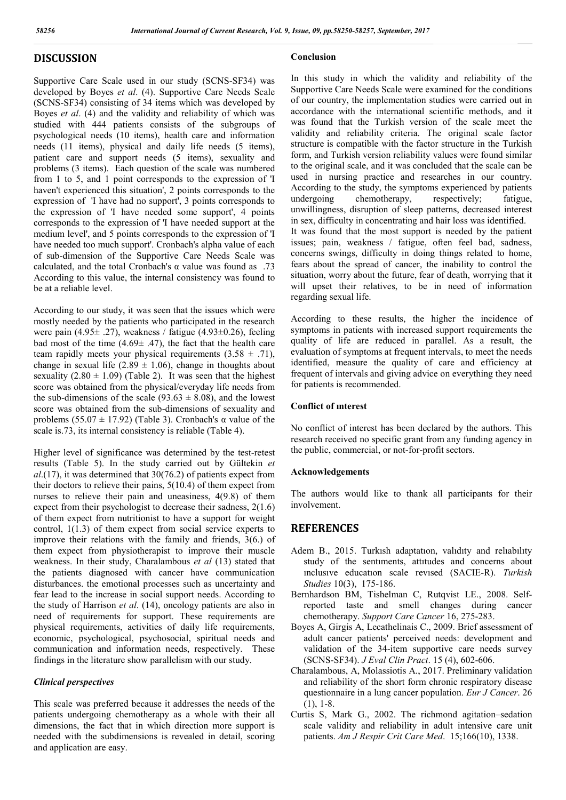## **DISCUSSION**

Supportive Care Scale used in our study (SCNS-SF34) was developed by Boyes *et al*. (4). Supportive Care Needs Scale (SCNS-SF34) consisting of 34 items which was developed by Boyes *et al*. (4) and the validity and reliability of which was studied with 444 patients consists of the subgroups of psychological needs (10 items), health care and information needs (11 items), physical and daily life needs (5 items), patient care and support needs (5 items), sexuality and problems (3 items). Each question of the scale was numbered from 1 to 5, and 1 point corresponds to the expression of 'I haven't experienced this situation', 2 points corresponds to the expression of 'I have had no support', 3 points corresponds to the expression of 'I have needed some support', 4 points corresponds to the expression of 'I have needed support at the medium level', and 5 points corresponds to the expression of 'I have needed too much support'. Cronbach's alpha value of each of sub-dimension of the Supportive Care Needs Scale was calculated, and the total Cronbach's  $\alpha$  value was found as .73 According to this value, the internal consistency was found to be at a reliable level.

According to our study, it was seen that the issues which were mostly needed by the patients who participated in the research were pain (4.95 $\pm$  .27), weakness / fatigue (4.93 $\pm$ 0.26), feeling bad most of the time  $(4.69 \pm .47)$ , the fact that the health care team rapidly meets your physical requirements  $(3.58 \pm .71)$ , change in sexual life  $(2.89 \pm 1.06)$ , change in thoughts about sexuality  $(2.80 \pm 1.09)$  (Table 2). It was seen that the highest score was obtained from the physical/everyday life needs from the sub-dimensions of the scale (93.63  $\pm$  8.08), and the lowest score was obtained from the sub-dimensions of sexuality and problems (55.07  $\pm$  17.92) (Table 3). Cronbach's  $\alpha$  value of the scale is.73, its internal consistency is reliable (Table 4).

Higher level of significance was determined by the test-retest results (Table 5). In the study carried out by Gültekin *et al*.(17), it was determined that 30(76.2) of patients expect from their doctors to relieve their pains, 5(10.4) of them expect from nurses to relieve their pain and uneasiness, 4(9.8) of them expect from their psychologist to decrease their sadness, 2(1.6) of them expect from nutritionist to have a support for weight control, 1(1.3) of them expect from social service experts to improve their relations with the family and friends, 3(6.) of them expect from physiotherapist to improve their muscle weakness. In their study, Charalambous *et al* (13) stated that the patients diagnosed with cancer have communication disturbances. the emotional processes such as uncertainty and fear lead to the increase in social support needs. According to the study of Harrison *et al*. (14), oncology patients are also in need of requirements for support. These requirements are physical requirements, activities of daily life requirements, economic, psychological, psychosocial, spiritual needs and communication and information needs, respectively. These findings in the literature show parallelism with our study.

## *Clinical perspectives*

This scale was preferred because it addresses the needs of the patients undergoing chemotherapy as a whole with their all dimensions, the fact that in which direction more support is needed with the subdimensions is revealed in detail, scoring and application are easy.

### **Conclusion**

In this study in which the validity and reliability of the Supportive Care Needs Scale were examined for the conditions of our country, the implementation studies were carried out in accordance with the international scientific methods, and it was found that the Turkish version of the scale meet the validity and reliability criteria. The original scale factor structure is compatible with the factor structure in the Turkish form, and Turkish version reliability values were found similar to the original scale, and it was concluded that the scale can be used in nursing practice and researches in our country. According to the study, the symptoms experienced by patients undergoing chemotherapy, respectively; fatigue, unwillingness, disruption of sleep patterns, decreased interest in sex, difficulty in concentrating and hair loss was identified. It was found that the most support is needed by the patient issues; pain, weakness / fatigue, often feel bad, sadness, concerns swings, difficulty in doing things related to home, fears about the spread of cancer, the inability to control the situation, worry about the future, fear of death, worrying that it will upset their relatives, to be in need of information regarding sexual life.

According to these results, the higher the incidence of symptoms in patients with increased support requirements the quality of life are reduced in parallel. As a result, the evaluation of symptoms at frequent intervals, to meet the needs identified, measure the quality of care and efficiency at frequent of intervals and giving advice on everything they need for patients is recommended.

### **Conflict of ınterest**

No conflict of interest has been declared by the authors. This research received no specific grant from any funding agency in the public, commercial, or not-for-profit sectors.

### **Acknowledgements**

The authors would like to thank all participants for their involvement.

## **REFERENCES**

- Adem B., 2015. Turkısh adaptatıon, valıdıty and relıabılıty study of the sentıments, attıtudes and concerns about ınclusıve educatıon scale revısed (SACIE-R). *Turkish Studies* 10(3), 175-186.
- Bernhardson BM, Tishelman C, Rutqvist LE., 2008. Selfreported taste and smell changes during cancer chemotherapy. *Support Care Cancer* 16, 275-283.
- Boyes A, Girgis A, Lecathelinais C., 2009. Brief assessment of adult cancer patients' perceived needs: development and validation of the 34-item supportive care needs survey (SCNS-SF34). *J Eval Clin Pract*. 15 (4), 602-606.
- Charalambous, A, Molassiotis A., 2017. Preliminary validation and reliability of the short form chronic respiratory disease questionnaire in a lung cancer population. *Eur J Cancer*. 26 (1), 1-8.
- Curtis S, Mark G., 2002. The richmond agitation–sedation scale validity and reliability in adult intensive care unit patients. *Am J Respir Crit Care Med*. 15;166(10), 1338.